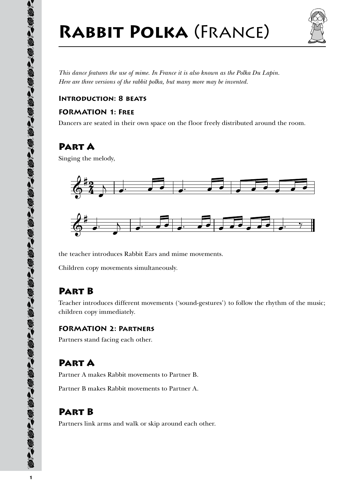

*This dance features the use of mime. In France it is also known as the Polka Du Lapin. Here are three versions of the rabbit polka, but many more may be invented.* 

#### **Introduction: 8 beats**

#### **FORMATION 1: Free**

Dancers are seated in their own space on the floor freely distributed around the room.

## Part A

Singing the melody,





the teacher introduces Rabbit Ears and mime movements.

Children copy movements simultaneously.

# Part B

Teacher introduces different movements ('sound-gestures') to follow the rhythm of the music; children copy immediately.

#### **FORMATION 2: Partners**

Partners stand facing each other.

## Part A

Partner A makes Rabbit movements to Partner B.

Partner B makes Rabbit movements to Partner A.

# Part B

Partners link arms and walk or skip around each other.